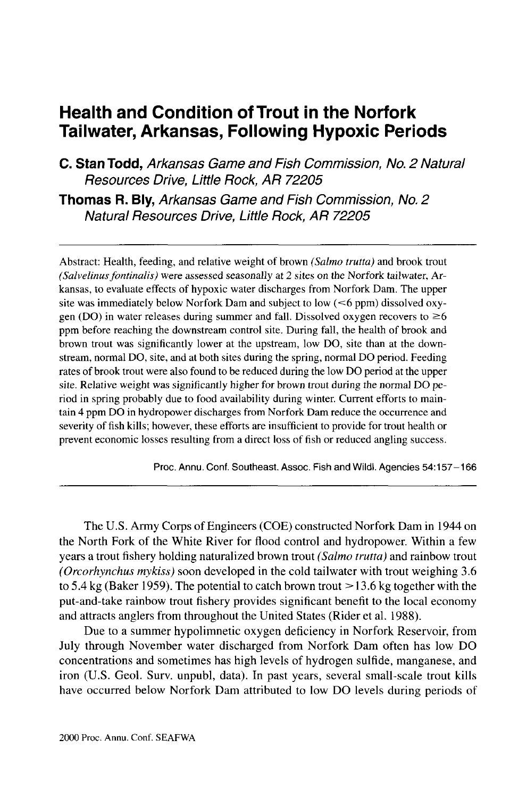# **Health and Condition of Trout in the Norfork Tailwater, Arkansas, Following Hypoxic Periods**

**C. Stan Todd,** Arkansas Game and Fish Commission, No. 2 Natural Resources Drive, Little Rock, AR 72205

**Thomas R. Bly,** Arkansas Game and Fish Commission, No. 2 Natural Resources Drive, Little Rock, AR 72205

Abstract: Health, feeding, and relative weight of brown *(Salmo trutta)* and brook trout *(Salvelinus fontinalis)* were assessed seasonally at 2 sites on the Norfork tailwater, Arkansas, to evaluate effects of hypoxic water discharges from Norfork Dam. The upper site was immediately below Norfork Dam and subject to low (<6 ppm) dissolved oxygen (DO) in water releases during summer and fall. Dissolved oxygen recovers to  $\geq 6$ ppm before reaching the downstream control site. During fall, the health of brook and brown trout was significantly lower at the upstream, low DO, site than at the downstream, normal DO, site, and at both sites during the spring, normal DO period. Feeding rates of brook trout were also found to be reduced during the low DO period at the upper site. Relative weight was significantly higher for brown trout during the normal DO period in spring probably due to food availability during winter. Current efforts to maintain 4 ppm DO in hydropower discharges from Norfork Dam reduce the occurrence and severity of fish kills; however, these efforts are insufficient to provide for trout health or prevent economic losses resulting from a direct loss of fish or reduced angling success.

Proc. Annu. Conf. Southeast. Assoc. Fish and Wildl. Agencies 54:157-166

The U.S. Army Corps of Engineers (COE) constructed Norfork Dam in 1944 on the North Fork of the White River for flood control and hydropower. Within a few years a trout fishery holding naturalized brown trout *(Salmo trutta)* and rainbow trout *(Orcorhynchus mykiss)* soon developed in the cold tailwater with trout weighing 3.6 to 5.4 kg (Baker 1959). The potential to catch brown trout  $>$  13.6 kg together with the put-and-take rainbow trout fishery provides significant benefit to the local economy and attracts anglers from throughout the United States (Rider et al. 1988).

Due to a summer hypolimnetic oxygen deficiency in Norfork Reservoir, from July through November water discharged from Norfork Dam often has low DO concentrations and sometimes has high levels of hydrogen sulfide, manganese, and iron (U.S. Geol. Surv. unpubl, data). In past years, several small-scale trout kills have occurred below Norfork Dam attributed to low DO levels during periods of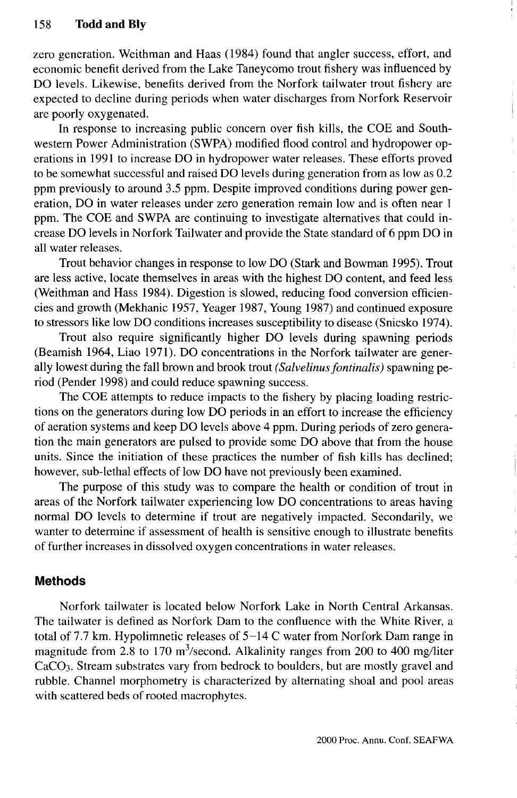zero generation. Weithman and Haas (1984) found that angler success, effort, and economic benefit derived from the Lake Taneycomo trout fishery was influenced by DO levels. Likewise, benefits derived from the Norfork tailwater trout fishery are expected to decline during periods when water discharges from Norfork Reservoir are poorly oxygenated.

In response to increasing public concern over fish kills, the COE and Southwestern Power Administration (SWPA) modified flood control and hydropower operations in 1991 to increase DO in hydropower water releases. These efforts proved to be somewhat successful and raised DO levels during generation from as low as 0.2 ppm previously to around 3.5 ppm. Despite improved conditions during power generation, DO in water releases under zero generation remain low and is often near 1 ppm. The COE and SWPA are continuing to investigate alternatives that could increase DO levels in Norfork Tailwater and provide the State standard of 6 ppm DO in all water releases.

Trout behavior changes in response to low DO (Stark and Bowman 1995). Trout are less active, locate themselves in areas with the highest DO content, and feed less (Weithman and Hass 1984). Digestion is slowed, reducing food conversion efficiencies and growth (Mekhanic 1957, Yeager 1987, Young 1987) and continued exposure to stressors like low DO conditions increases susceptibility to disease (Snicsko 1974).

Trout also require significantly higher DO levels during spawning periods (Beamish 1964, Liao 1971). DO concentrations in the Norfork tailwater are generally lowest during the fall brown and brook trout *(Salvelinus fontinalis)* spawning period (Pender 1998) and could reduce spawning success.

The COE attempts to reduce impacts to the fishery by placing loading restrictions on the generators during low DO periods in an effort to increase the efficiency of aeration systems and keep DO levels above 4 ppm. During periods of zero generation the main generators are pulsed to provide some DO above that from the house units. Since the initiation of these practices the number of fish kills has declined; however, sub-lethal effects of low DO have not previously been examined.

The purpose of this study was to compare the health or condition of trout in areas of the Norfork tailwater experiencing low DO concentrations to areas having normal DO levels to determine if trout are negatively impacted. Secondarily, we wanter to determine if assessment of health is sensitive enough to illustrate benefits of further increases in dissolved oxygen concentrations in water releases.

## **Methods**

Norfork tailwater is located below Norfork Lake in North Central Arkansas. The tailwater is defined as Norfork Dam to the confluence with the White River, a total of 7.7 km. Hypolimnetic releases of 5-14 C water from Norfork Dam range in magnitude from 2.8 to 170 m<sup>3</sup>/second. Alkalinity ranges from 200 to 400 mg/liter CaCO3. Stream substrates vary from bedrock to boulders, but are mostly gravel and rubble. Channel morphometry is characterized by alternating shoal and pool areas with scattered beds of rooted macrophytes.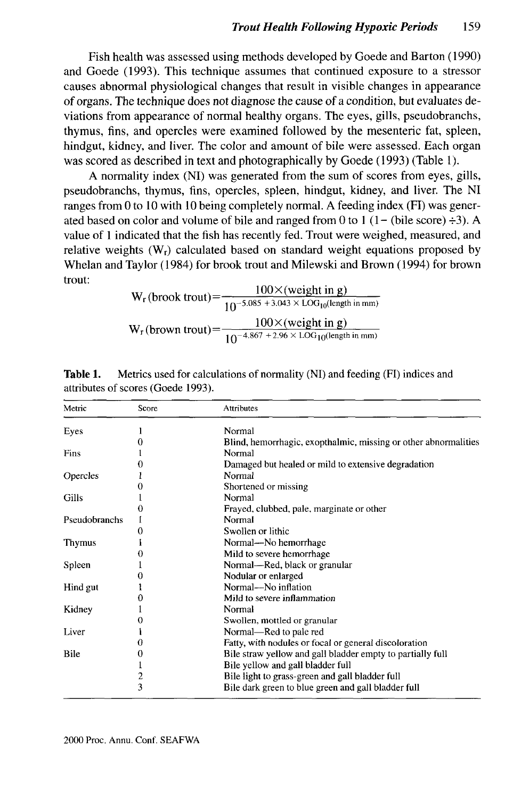Fish health was assessed using methods developed by Goede and Barton (1990) and Goede (1993). This technique assumes that continued exposure to a stressor causes abnormal physiological changes that result in visible changes in appearance of organs. The technique does not diagnose the cause of a condition, but evaluates deviations from appearance of normal healthy organs. The eyes, gills, pseudobranchs, thymus, fins, and opercles were examined followed by the mesenteric fat, spleen, hindgut, kidney, and liver. The color and amount of bile were assessed. Each organ was scored as described in text and photographically by Goede (1993) (Table 1).

A normality index (NI) was generated from the sum of scores from eyes, gills, pseudobranchs, thymus, fins, opercles, spleen, hindgut, kidney, and liver. The NI ranges from 0 to 10 with 10 being completely normal. A feeding index (FI) was generated based on color and volume of bile and ranged from 0 to 1 (1– (bile score)  $\div 3$ ). A value of 1 indicated that the fish has recently fed. Trout were weighed, measured, and relative weights (Wr) calculated based on standard weight equations proposed by Whelan and Taylor (1984) for brook trout and Milewski and Brown (1994) for brown trout:

 $W_r$  (brook trout) =  $\frac{100 \times ($  weight in g)<br> $\frac{100 \times 100}{10^{-5.085 + 3.043 \times 100}}$  (length in mm)  $W_r$ (brown trout) =  $\frac{100 \times (weight \text{ in g})}{10^{-4.867 + 2.96 \times 1.0 \text{Gi}}$  $10^{-4.867}$  + 2.96  $\times$  LOG<sub>10</sub>(length in mm)

| Metric        | Score | Attributes                                                      |
|---------------|-------|-----------------------------------------------------------------|
| Eyes          |       | Normal                                                          |
|               |       | Blind, hemorrhagic, exopthalmic, missing or other abnormalities |
| Fins          |       | Normal                                                          |
|               |       | Damaged but healed or mild to extensive degradation             |
| Opercles      |       | Normal                                                          |
|               | 0     | Shortened or missing                                            |
| Gills         |       | Normal                                                          |
|               | 0     | Frayed, clubbed, pale, marginate or other                       |
| Pseudobranchs |       | Normal                                                          |
|               |       | Swollen or lithic                                               |
| Thymus        |       | Normal—No hemorrhage                                            |
|               |       | Mild to severe hemorrhage                                       |
| Spleen        |       | Normal—Red, black or granular                                   |
|               | 0     | Nodular or enlarged                                             |
| Hind gut      |       | Normal—No inflation                                             |
|               | 0     | Mild to severe inflammation                                     |
| Kidney        |       | Normal                                                          |
|               | 0     | Swollen, mottled or granular                                    |
| Liver         |       | Normal—Red to pale red                                          |
|               | U     | Fatty, with nodules or focal or general discoloration           |
| Bile          | 0     | Bile straw yellow and gall bladder empty to partially full      |
|               |       | Bile yellow and gall bladder full                               |
|               | 2     | Bile light to grass-green and gall bladder full                 |
|               | 3     | Bile dark green to blue green and gall bladder full             |

**Table 1.** Metrics used for calculations of normality (NI) and feeding (FI) indices and attributes of scores (Goede 1993).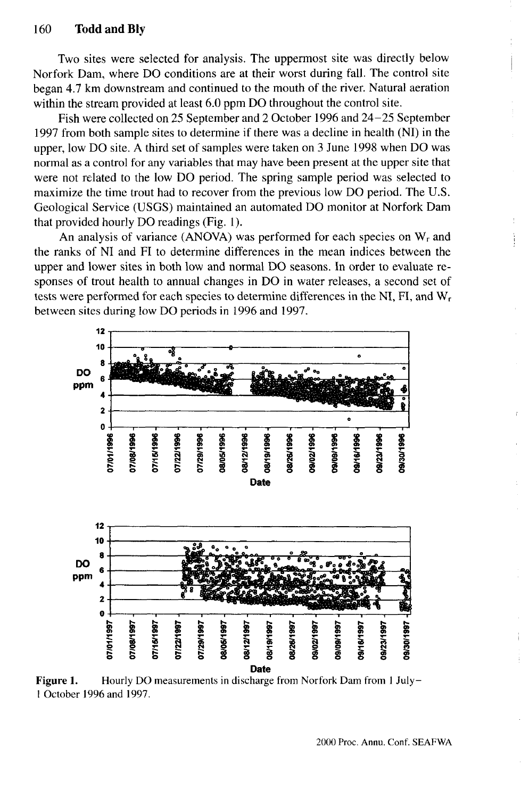Two sites were selected for analysis. The uppermost site was directly below Norfork Dam, where DO conditions are at their worst during fall. The control site began 4.7 km downstream and continued to the mouth of the river. Natural aeration within the stream provided at least 6.0 ppm DO throughout the control site.

Fish were collected on 25 September and 2 October 1996 and 24-25 September 1997 from both sample sites to determine if there was a decline in health (NI) in the upper, low DO site. A third set of samples were taken on 3 June 1998 when DO was normal as a control for any variables that may have been present at the upper site that were not related to the low DO period. The spring sample period was selected to maximize the time trout had to recover from the previous low DO period. The U.S. Geological Service (USGS) maintained an automated DO monitor at Norfork Dam that provided hourly DO readings (Fig. 1).

An analysis of variance (ANOVA) was performed for each species on  $W_r$  and the ranks of NI and FI to determine differences in the mean indices between the upper and lower sites in both low and normal DO seasons. In order to evaluate responses of trout health to annual changes in DO in water releases, a second set of tests were performed for each species to determine differences in the NI, FI, and W<sup>r</sup> between sites during low DO periods in 1996 and 1997.



Figure 1. Hourly DO measurements in discharge from Norfork Dam from 1 July-1 October 1996 and 1997.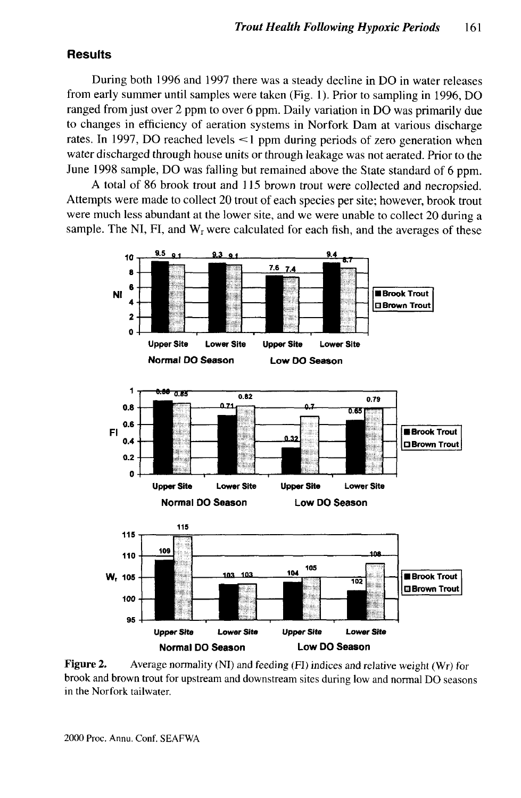## **Results**

During both 1996 and 1997 there was a steady decline in DO in water releases from early summer until samples were taken (Fig. 1). Prior to sampling in 1996, DO ranged from just over 2 ppm to over 6 ppm. Daily variation in DO was primarily due to changes in efficiency of aeration systems in Norfork Dam at various discharge rates. In 1997, DO reached levels <1 ppm during periods of zero generation when water discharged through house units or through leakage was not aerated. Prior to the June 1998 sample, DO was falling but remained above the State standard of 6 ppm.

A total of 86 brook trout and 115 brown trout were collected and necropsied. Attempts were made to collect 20 trout of each species per site; however, brook trout were much less abundant at the lower site, and we were unable to collect 20 during a sample. The NI, FI, and  $W_r$  were calculated for each fish, and the averages of these



**Figure 2.** Average normality (NI) and feeding (FI) indices and relative weight (Wr) for brook and brown trout for upstream and downstream sites during low and normal DO seasons in the Norfork tailwater.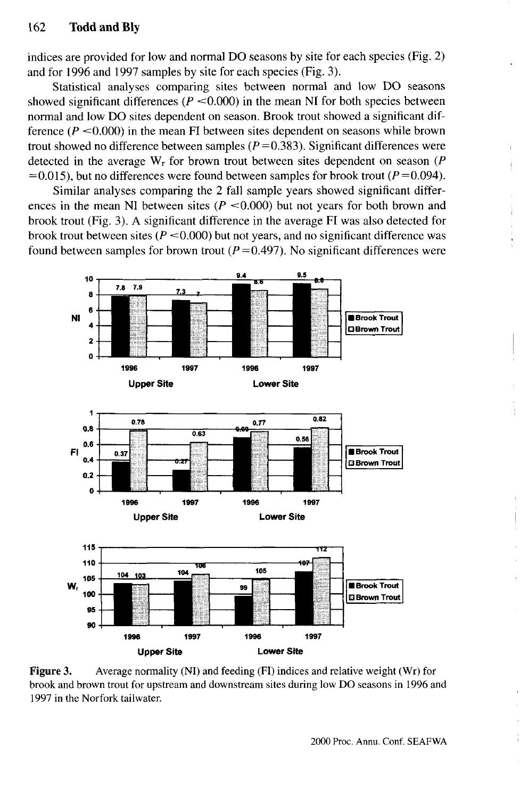indices are provided for low and normal DO seasons by site for each species (Fig. 2) and for 1996 and 1997 samples by site for each species (Fig. 3).

Statistical analyses comparing sites between normal and low DO seasons showed significant differences  $(P \le 0.000)$  in the mean NI for both species between normal and low DO sites dependent on season. Brook trout showed a significant difference  $(P < 0.000)$  in the mean FI between sites dependent on seasons while brown trout showed no difference between samples  $(P=0.383)$ . Significant differences were detected in the average W<sup>r</sup> for brown trout between sites dependent on season *(P*  $=0.015$ ), but no differences were found between samples for brook trout ( $P=0.094$ ).

Similar analyses comparing the 2 fall sample years showed significant differences in the mean NI between sites  $(P \le 0.000)$  but not years for both brown and brook trout (Fig. 3). A significant difference in the average FI was also detected for brook trout between sites *(P* <0.000) but not years, and no significant difference was found between samples for brown trout  $(P=0.497)$ . No significant differences were



**Figure 3.** Average normality (NI) and feeding (FI) indices and relative weight (Wr) for brook and brown trout for upstream and downstream sites during low DO seasons in 1996 and 1997 in the Norfork tailwater.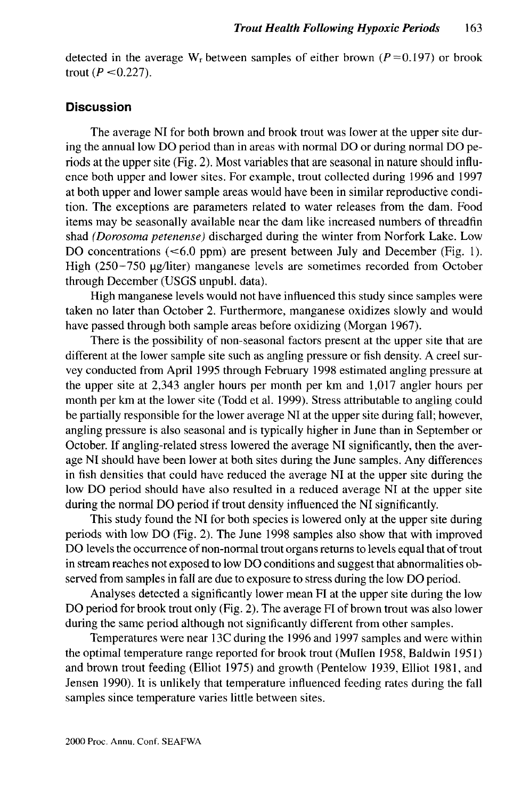detected in the average  $W_r$  between samples of either brown ( $P = 0.197$ ) or brook trout  $(P < 0.227)$ .

## **Discussion**

The average NI for both brown and brook trout was lower at the upper site during the annual low DO period than in areas with normal DO or during normal DO periods at the upper site (Fig. 2). Most variables that are seasonal in nature should influence both upper and lower sites. For example, trout collected during 1996 and 1997 at both upper and lower sample areas would have been in similar reproductive condition. The exceptions are parameters related to water releases from the dam. Food items may be seasonally available near the dam like increased numbers of threadfin shad *(Dorosoma petenense)* discharged during the winter from Norfork Lake. Low DO concentrations  $( $6.0 \text{ ppm}$ )$  are present between July and December (Fig. 1). High (250-750 µg/liter) manganese levels are sometimes recorded from October through December (USGS unpubl. data).

High manganese levels would not have influenced this study since samples were taken no later than October 2. Furthermore, manganese oxidizes slowly and would have passed through both sample areas before oxidizing (Morgan 1967).

There is the possibility of non-seasonal factors present at the upper site that are different at the lower sample site such as angling pressure or fish density. A creel survey conducted from April 1995 through February 1998 estimated angling pressure at the upper site at 2,343 angler hours per month per km and 1,017 angler hours per month per km at the lower site (Todd et al. 1999). Stress attributable to angling could be partially responsible for the lower average NI at the upper site during fall; however, angling pressure is also seasonal and is typically higher in June than in September or October. If angling-related stress lowered the average NI significantly, then the average NI should have been lower at both sites during the June samples. Any differences in fish densities that could have reduced the average NI at the upper site during the low DO period should have also resulted in a reduced average NI at the upper site during the normal DO period if trout density influenced the NI significantly.

This study found the NI for both species is lowered only at the upper site during periods with low DO (Fig. 2). The June 1998 samples also show that with improved DO levels the occurrence of non-normal trout organs returns to levels equal that of trout in stream reaches not exposed to low DO conditions and suggest that abnormalities observed from samples in fall are due to exposure to stress during the low DO period.

Analyses detected a significantly lower mean FI at the upper site during the low DO period for brook trout only (Fig. 2). The average FI of brown trout was also lower during the same period although not significantly different from other samples.

Temperatures were near 13C during the 1996 and 1997 samples and were within the optimal temperature range reported for brook trout (Mullen 1958, Baldwin 1951) and brown trout feeding (Elliot 1975) and growth (Pentelow 1939, Elliot 1981, and Jensen 1990). It is unlikely that temperature influenced feeding rates during the fall samples since temperature varies little between sites.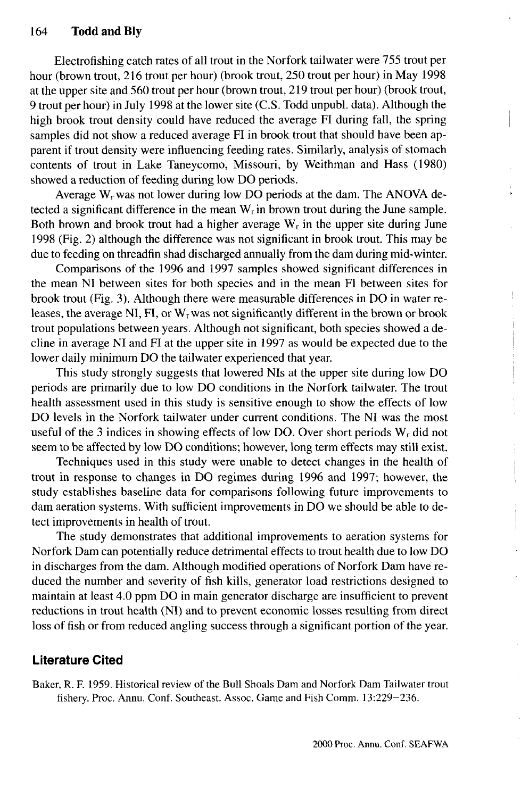Electrofishing catch rates of all trout in the Norfork tailwater were 755 trout per hour (brown trout, 216 trout per hour) (brook trout, 250 trout per hour) in May 1998 at the upper site and 560 trout per hour (brown trout, 219 trout per hour) (brook trout, 9 trout per hour) in July 1998 at the lower site (C.S. Todd unpubl. data). Although the high brook trout density could have reduced the average FI during fall, the spring samples did not show a reduced average FI in brook trout that should have been apparent if trout density were influencing feeding rates. Similarly, analysis of stomach contents of trout in Lake Taneycomo, Missouri, by Weithman and Hass (1980) showed a reduction of feeding during low DO periods.

Average W<sub>r</sub> was not lower during low DO periods at the dam. The ANOVA detected a significant difference in the mean  $W_r$  in brown trout during the June sample. Both brown and brook trout had a higher average  $W_r$  in the upper site during June 1998 (Fig. 2) although the difference was not significant in brook trout. This may be due to feeding on threadfin shad discharged annually from the dam during mid-winter.

Comparisons of the 1996 and 1997 samples showed significant differences in the mean NI between sites for both species and in the mean FI between sites for brook trout (Fig. 3). Although there were measurable differences in DO in water releases, the average NI, FI, or  $W_r$  was not significantly different in the brown or brook trout populations between years. Although not significant, both species showed a decline in average NI and FI at the upper site in 1997 as would be expected due to the lower daily minimum DO the tailwater experienced that year.

This study strongly suggests that lowered NIs at the upper site during low DO periods are primarily due to low DO conditions in the Norfork tailwater. The trout health assessment used in this study is sensitive enough to show the effects of low DO levels in the Norfork tailwater under current conditions. The NI was the most useful of the 3 indices in showing effects of low DO. Over short periods  $W_r$  did not seem to be affected by low DO conditions; however, long term effects may still exist.

Techniques used in this study were unable to detect changes in the health of trout in response to changes in DO regimes during 1996 and 1997; however, the study establishes baseline data for comparisons following future improvements to dam aeration systems. With sufficient improvements in DO we should be able to detect improvements in health of trout.

The study demonstrates that additional improvements to aeration systems for Norfork Dam can potentially reduce detrimental effects to trout health due to low DO in discharges from the dam. Although modified operations of Norfork Dam have reduced the number and severity of fish kills, generator load restrictions designed to maintain at least 4.0 ppm DO in main generator discharge are insufficient to prevent reductions in trout health (NI) and to prevent economic losses resulting from direct loss of fish or from reduced angling success through a significant portion of the year.

### **Literature Cited**

Baker, R. F. 1959. Historical review of the Bull Shoals Dam and Norfork Dam Tailwater trout fishery. Proc. Annu. Conf. Southeast. Assoc. Game and Fish Comm. 13:229–236.

 $\mathop{!}\nolimits$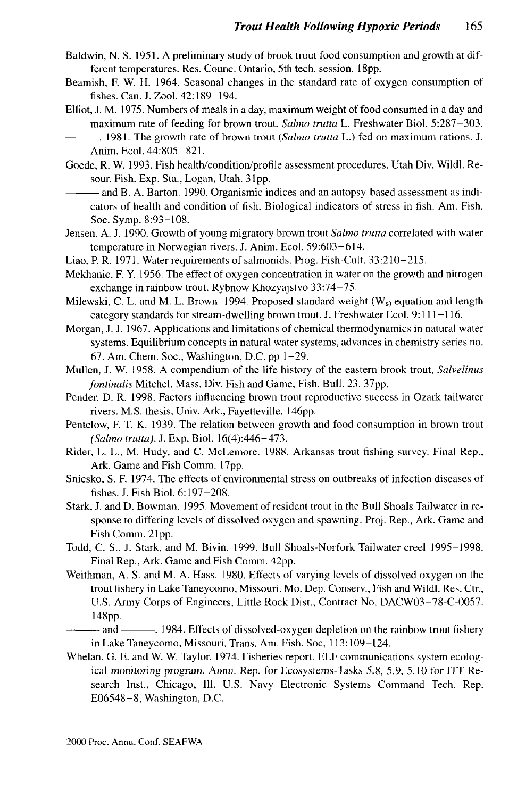- Baldwin, N. S. 1951. A preliminary study of brook trout food consumption and growth at different temperatures. Res. Counc. Ontario, 5th tech. session. 18pp.
- Beamish, F. W. H. 1964. Seasonal changes in the standard rate of oxygen consumption of fishes. Can. J. Zool. 42:189-194.
- Elliot, J. M. 1975. Numbers of meals in a day, maximum weight of food consumed in a day and maximum rate of feeding for brown trout, *Salmo trutta* L. Freshwater Biol. 5:287-303.
- . 1981. The growth rate of brown trout *(Salmo trutta* L.) fed on maximum rations. J. Anim.Ecol. 44:805-821.
- Goede, R. W. 1993. Fish health/condition/profile assessment procedures. Utah Div. Wildl. Resour. Fish. Exp. Sta., Logan, Utah. 31pp.
	- and B. A. Barton. 1990. Organismic indices and an autopsy-based assessment as indicators of health and condition of fish. Biological indicators of stress in fish. Am. Fish. Soc. Symp. 8:93-108.
- Jensen, A. J. 1990. Growth of young migratory brown trout *Salmo trutta* correlated with water temperature in Norwegian rivers. J. Anim. Ecol. 59:603-614.
- Liao, P. R. 1971. Water requirements of salmonids. Prog. Fish-Cult. 33:210-215.
- Mekhanic, F. Y. 1956. The effect of oxygen concentration in water on the growth and nitrogen exchange in rainbow trout. Rybnow Khozyajstvo 33:74-75.
- Milewski, C. L. and M. L. Brown. 1994. Proposed standard weight  $(W_s)$  equation and length category standards for stream-dwelling brown trout. J. Freshwater Ecol. 9:111-116.
- Morgan, J. J. 1967. Applications and limitations of chemical thermodynamics in natural water systems. Equilibrium concepts in natural water systems, advances in chemistry series no. 67. Am. Chem. Soc., Washington, D.C. pp  $1-29$ .
- Mullen, J. W. 1958. A compendium of the life history of the eastern brook trout, *Salvelinus fontinalis* Mitchel. Mass. Div. Fish and Game, Fish. Bull. 23. 37pp.
- Pender, D. R. 1998. Factors influencing brown trout reproductive success in Ozark tailwater rivers. M.S. thesis, Univ. Ark., Fayetteville. 146pp.
- Pentelow, F. T. K. 1939. The relation between growth and food consumption in brown trout *(Salmo trutta).* J. Exp. Biol. 16(4):446-473.
- Rider, L. L., M. Hudy, and C. McLemore. 1988. Arkansas trout fishing survey. Final Rep., Ark. Game and Fish Comm. 17pp.
- Snicsko, S. F. 1974. The effects of environmental stress on outbreaks of infection diseases of fishes. J. Fish Biol. 6:197-208.
- Stark, J. and D. Bowman. 1995. Movement of resident trout in the Bull Shoals Tailwater in response to differing levels of dissolved oxygen and spawning. Proj. Rep., Ark. Game and Fish Comm. 21pp.
- Todd, C. S., J. Stark, and M. Bivin. 1999. Bull Shoals-Norfork Tailwater creel 1995-1998. Final Rep., Ark. Game and Fish Comm. 42pp.
- Weithman, A. S. and M. A. Hass. 1980. Effects of varying levels of dissolved oxygen on the trout fishery in Lake Taneycomo, Missouri. Mo. Dep. Conserv., Fish and Wildl. Res. Ctr., U.S. Army Corps of Engineers, Little Rock Dist., Contract No. DACW03-78-C-0057. 148pp.
- and 1984. Effects of dissolved-oxygen depletion on the rainbow trout fishery in Lake Taneycomo, Missouri. Trans. Am. Fish. Soc, 113:109-124.
- Whelan, G. E. and W. W. Taylor. 1974. Fisheries report. ELF communications system ecological monitoring program. Annu. Rep. for Ecosystems-Tasks 5.8, 5.9, 5.10 for ITT Research Inst., Chicago, 111. U.S. Navy Electronic Systems Command Tech. Rep. E06548-8, Washington, D.C.